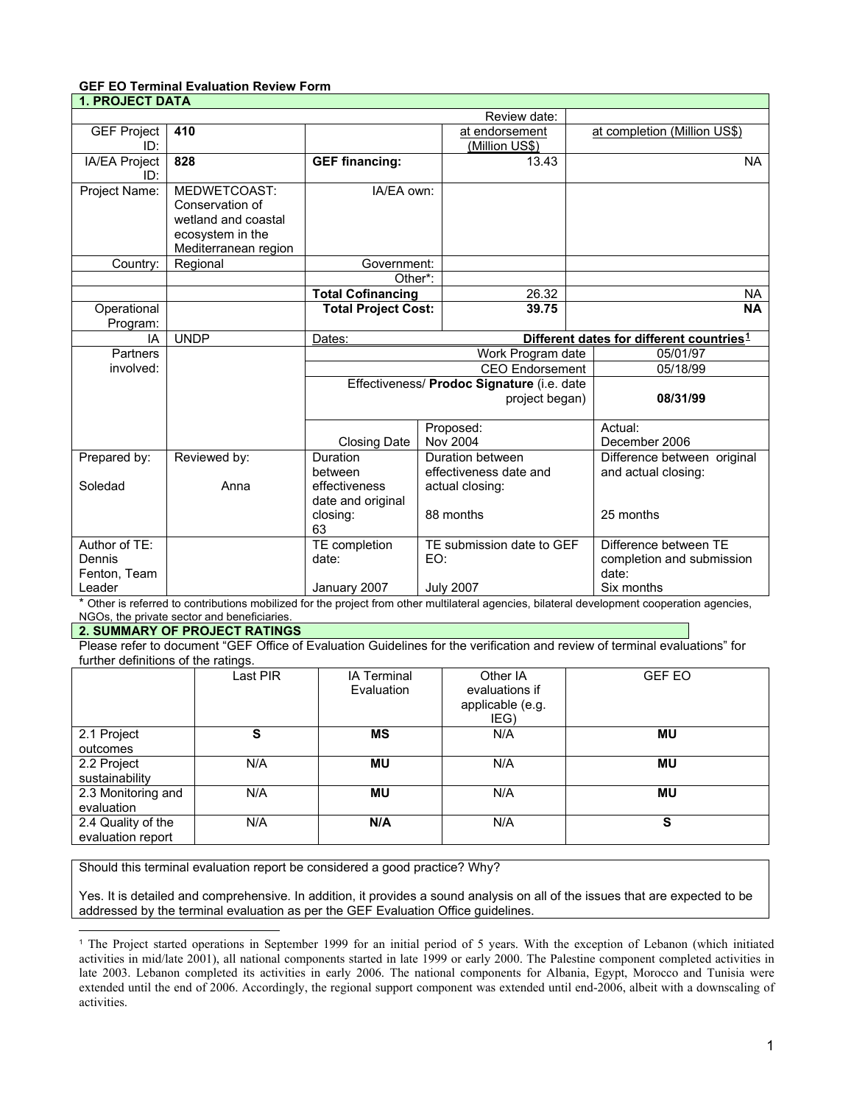### **GEF EO Terminal Evaluation Review Form 1. PROJECT DATA**

| I. PRUJECT DATA    |                      |                                                                |                  |                           |                             |                              |
|--------------------|----------------------|----------------------------------------------------------------|------------------|---------------------------|-----------------------------|------------------------------|
|                    |                      |                                                                |                  | Review date:              |                             |                              |
| <b>GEF Project</b> | 410                  |                                                                |                  | at endorsement            |                             | at completion (Million US\$) |
| ID:                |                      |                                                                |                  | (Million US\$)            |                             |                              |
| IA/EA Project      | 828                  | <b>GEF financing:</b>                                          |                  | 13.43                     |                             | <b>NA</b>                    |
| ID:                |                      |                                                                |                  |                           |                             |                              |
| Project Name:      | MEDWETCOAST:         | IA/EA own:                                                     |                  |                           |                             |                              |
|                    | Conservation of      |                                                                |                  |                           |                             |                              |
|                    | wetland and coastal  |                                                                |                  |                           |                             |                              |
|                    | ecosystem in the     |                                                                |                  |                           |                             |                              |
|                    | Mediterranean region |                                                                |                  |                           |                             |                              |
| Country:           | Regional             | Government:                                                    |                  |                           |                             |                              |
|                    |                      | Other*:                                                        |                  |                           |                             |                              |
|                    |                      | <b>Total Cofinancing</b>                                       |                  | 26.32                     |                             | <b>NA</b>                    |
| Operational        |                      | <b>Total Project Cost:</b>                                     |                  | 39.75                     |                             | <b>NA</b>                    |
| Program:           |                      |                                                                |                  |                           |                             |                              |
| IA                 | <b>UNDP</b>          | Different dates for different countries <sup>1</sup><br>Dates: |                  |                           |                             |                              |
| Partners           |                      | Work Program date                                              |                  |                           | 05/01/97                    |                              |
| involved:          |                      | <b>CEO</b> Endorsement                                         |                  | 05/18/99                  |                             |                              |
|                    |                      | Effectiveness/ Prodoc Signature (i.e. date                     |                  |                           |                             |                              |
|                    |                      | project began)                                                 |                  | 08/31/99                  |                             |                              |
|                    |                      |                                                                |                  |                           |                             |                              |
|                    |                      |                                                                | Proposed:        |                           | Actual:                     |                              |
|                    |                      | Closing Date                                                   |                  | <b>Nov 2004</b>           |                             | December 2006                |
| Prepared by:       | Reviewed by:         | Duration                                                       | Duration between |                           | Difference between original |                              |
|                    |                      | between                                                        |                  | effectiveness date and    |                             | and actual closing:          |
| Soledad            | Anna                 | effectiveness                                                  | actual closing:  |                           |                             |                              |
|                    |                      | date and original                                              |                  |                           |                             |                              |
|                    |                      | closing:                                                       |                  | 88 months                 |                             | 25 months                    |
|                    |                      | 63                                                             |                  |                           |                             |                              |
| Author of TE:      |                      | TE completion                                                  |                  | TE submission date to GEF |                             | Difference between TE        |
| Dennis             |                      | date:                                                          | EO:              |                           |                             | completion and submission    |
| Fenton, Team       |                      |                                                                |                  |                           |                             | date:                        |
| Leader             |                      | January 2007                                                   |                  | <b>July 2007</b>          |                             | Six months                   |

\* Other is referred to contributions mobilized for the project from other multilateral agencies, bilateral development cooperation agencies, NGOs, the private sector and beneficiaries.

#### **2. SUMMARY OF PROJECT RATINGS**

j

Please refer to document "GEF Office of Evaluation Guidelines for the verification and review of terminal evaluations" for further definitions of the ratings.

|                                         | Last PIR | <b>IA Terminal</b><br>Evaluation | Other IA<br>evaluations if<br>applicable (e.g.<br>IEG) | <b>GEF EO</b> |
|-----------------------------------------|----------|----------------------------------|--------------------------------------------------------|---------------|
| 2.1 Project<br>outcomes                 | S        | ΜS                               | N/A                                                    | <b>MU</b>     |
| 2.2 Project<br>sustainability           | N/A      | ΜU                               | N/A                                                    | <b>MU</b>     |
| 2.3 Monitoring and<br>evaluation        | N/A      | ΜU                               | N/A                                                    | <b>MU</b>     |
| 2.4 Quality of the<br>evaluation report | N/A      | N/A                              | N/A                                                    | S             |

Should this terminal evaluation report be considered a good practice? Why?

Yes. It is detailed and comprehensive. In addition, it provides a sound analysis on all of the issues that are expected to be addressed by the terminal evaluation as per the GEF Evaluation Office guidelines.

<span id="page-0-0"></span><sup>1</sup> The Project started operations in September 1999 for an initial period of 5 years. With the exception of Lebanon (which initiated activities in mid/late 2001), all national components started in late 1999 or early 2000. The Palestine component completed activities in late 2003. Lebanon completed its activities in early 2006. The national components for Albania, Egypt, Morocco and Tunisia were extended until the end of 2006. Accordingly, the regional support component was extended until end-2006, albeit with a downscaling of activities.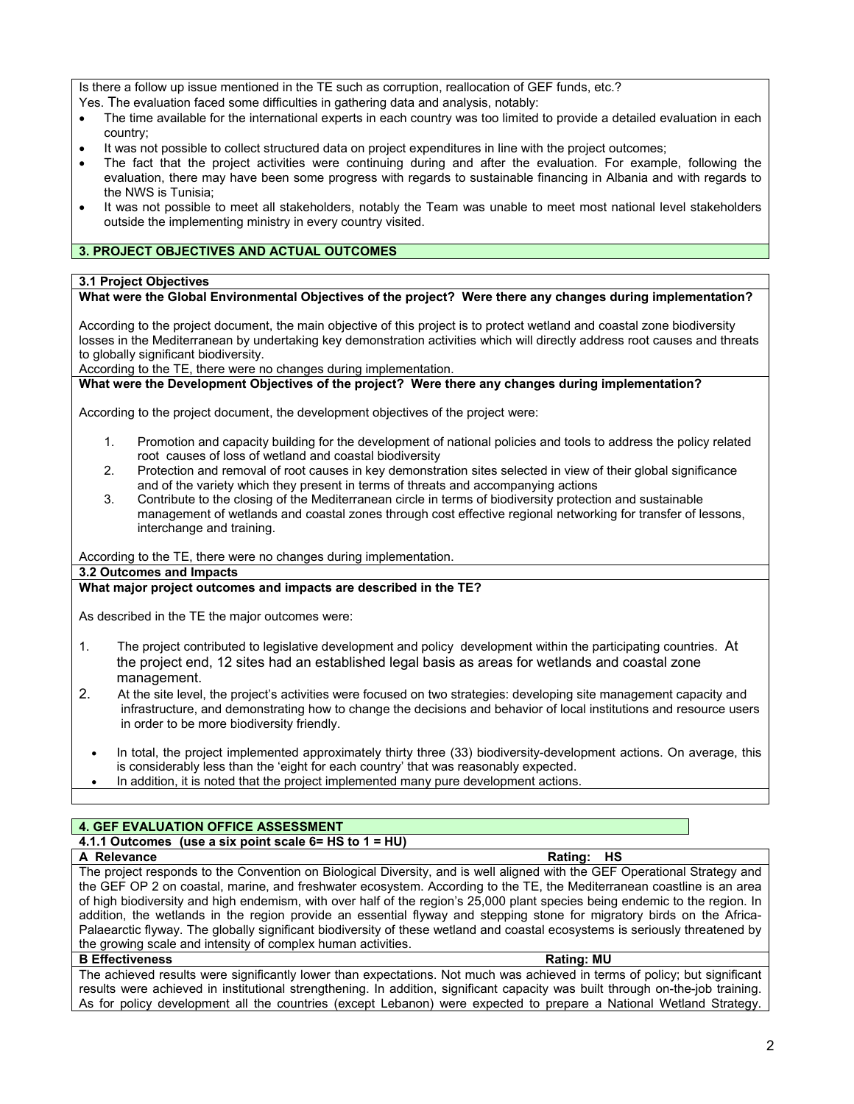Is there a follow up issue mentioned in the TE such as corruption, reallocation of GEF funds, etc.?

Yes. The evaluation faced some difficulties in gathering data and analysis, notably:

- The time available for the international experts in each country was too limited to provide a detailed evaluation in each country;
- It was not possible to collect structured data on project expenditures in line with the project outcomes;
- The fact that the project activities were continuing during and after the evaluation. For example, following the evaluation, there may have been some progress with regards to sustainable financing in Albania and with regards to the NWS is Tunisia;
- It was not possible to meet all stakeholders, notably the Team was unable to meet most national level stakeholders outside the implementing ministry in every country visited.

## **3. PROJECT OBJECTIVES AND ACTUAL OUTCOMES**

#### **3.1 Project Objectives**

## **What were the Global Environmental Objectives of the project? Were there any changes during implementation?**

According to the project document, the main objective of this project is to protect wetland and coastal zone biodiversity losses in the Mediterranean by undertaking key demonstration activities which will directly address root causes and threats to globally significant biodiversity.

According to the TE, there were no changes during implementation.

## **What were the Development Objectives of the project? Were there any changes during implementation?**

According to the project document, the development objectives of the project were:

- 1. Promotion and capacity building for the development of national policies and tools to address the policy related root causes of loss of wetland and coastal biodiversity
- 2. Protection and removal of root causes in key demonstration sites selected in view of their global significance and of the variety which they present in terms of threats and accompanying actions
- 3. Contribute to the closing of the Mediterranean circle in terms of biodiversity protection and sustainable management of wetlands and coastal zones through cost effective regional networking for transfer of lessons, interchange and training.

According to the TE, there were no changes during implementation.

#### **3.2 Outcomes and Impacts**

## **What major project outcomes and impacts are described in the TE?**

As described in the TE the major outcomes were:

- 1. The project contributed to legislative development and policy development within the participating countries. At the project end, 12 sites had an established legal basis as areas for wetlands and coastal zone management.
- 2. At the site level, the project's activities were focused on two strategies: developing site management capacity and infrastructure, and demonstrating how to change the decisions and behavior of local institutions and resource users in order to be more biodiversity friendly.
	- In total, the project implemented approximately thirty three (33) biodiversity-development actions. On average, this is considerably less than the 'eight for each country' that was reasonably expected.
	- In addition, it is noted that the project implemented many pure development actions.

## **4. GEF EVALUATION OFFICE ASSESSMENT**

# **4.1.1 Outcomes (use a six point scale 6= HS to 1 = HU)**

### **A Relevance A Relevance Rating:** HS

The project responds to the Convention on Biological Diversity, and is well aligned with the GEF Operational Strategy and the GEF OP 2 on coastal, marine, and freshwater ecosystem. According to the TE, the Mediterranean coastline is an area of high biodiversity and high endemism, with over half of the region's 25,000 plant species being endemic to the region. In addition, the wetlands in the region provide an essential flyway and stepping stone for migratory birds on the Africa-Palaearctic flyway. The globally significant biodiversity of these wetland and coastal ecosystems is seriously threatened by the growing scale and intensity of complex human activities.

## **B Effectiveness** Rating: MU **B Rating: Rating: Rating: MU**

The achieved results were significantly lower than expectations. Not much was achieved in terms of policy; but significant results were achieved in institutional strengthening. In addition, significant capacity was built through on-the-job training. As for policy development all the countries (except Lebanon) were expected to prepare a National Wetland Strategy.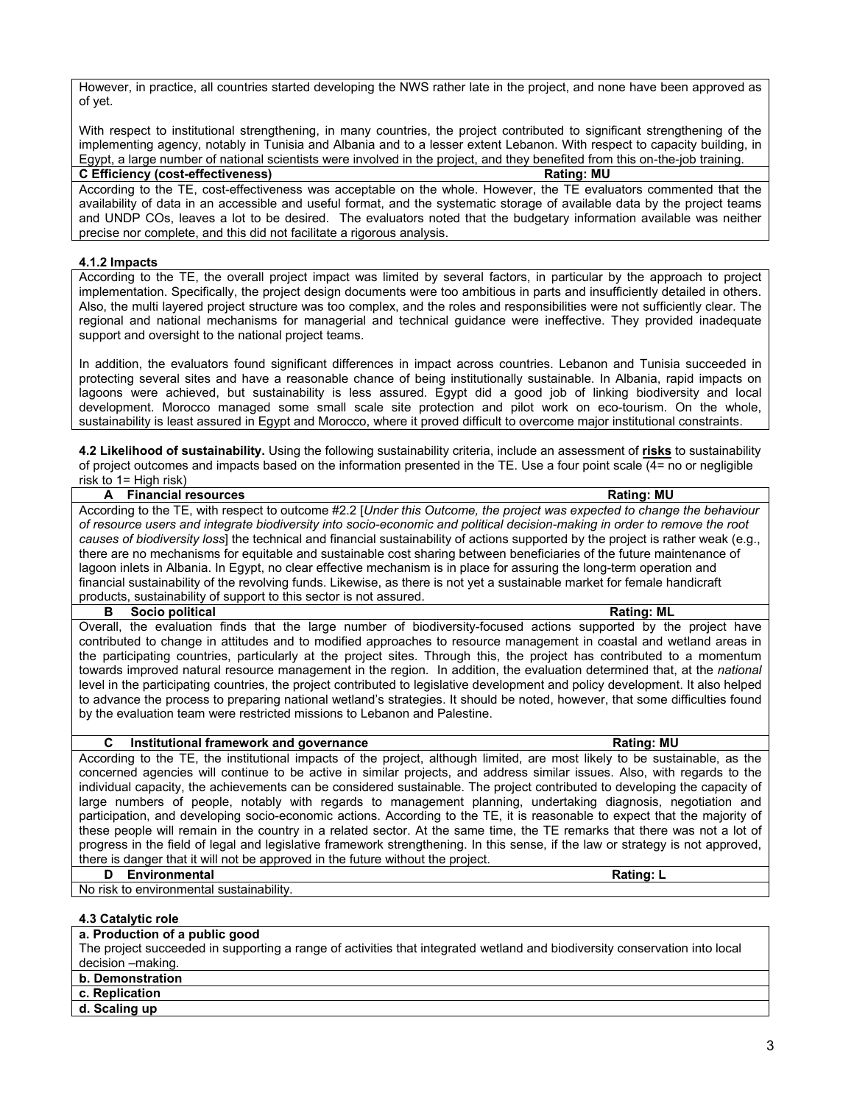However, in practice, all countries started developing the NWS rather late in the project, and none have been approved as of yet.

With respect to institutional strengthening, in many countries, the project contributed to significant strengthening of the implementing agency, notably in Tunisia and Albania and to a lesser extent Lebanon. With respect to capacity building, in Egypt, a large number of national scientists were involved in the project, and they benefited from this on-the-job training.

#### **C Efficiency (cost-effectiveness) Rating: MU**

According to the TE, cost-effectiveness was acceptable on the whole. However, the TE evaluators commented that the availability of data in an accessible and useful format, and the systematic storage of available data by the project teams and UNDP COs, leaves a lot to be desired. The evaluators noted that the budgetary information available was neither precise nor complete, and this did not facilitate a rigorous analysis.

#### **4.1.2 Impacts**

According to the TE, the overall project impact was limited by several factors, in particular by the approach to project implementation. Specifically, the project design documents were too ambitious in parts and insufficiently detailed in others. Also, the multi layered project structure was too complex, and the roles and responsibilities were not sufficiently clear. The regional and national mechanisms for managerial and technical guidance were ineffective. They provided inadequate support and oversight to the national project teams.

In addition, the evaluators found significant differences in impact across countries. Lebanon and Tunisia succeeded in protecting several sites and have a reasonable chance of being institutionally sustainable. In Albania, rapid impacts on lagoons were achieved, but sustainability is less assured. Egypt did a good job of linking biodiversity and local development. Morocco managed some small scale site protection and pilot work on eco-tourism. On the whole, sustainability is least assured in Egypt and Morocco, where it proved difficult to overcome major institutional constraints.

**4.2 Likelihood of sustainability.** Using the following sustainability criteria, include an assessment of **risks** to sustainability of project outcomes and impacts based on the information presented in the TE. Use a four point scale (4= no or negligible risk to 1= High risk)

| A Financial resources                                                                                                             | <b>Rating: MU</b> |
|-----------------------------------------------------------------------------------------------------------------------------------|-------------------|
| According to the TE, with respect to outcome #2.2 [Under this Outcome, the project was expected to change the behaviour           |                   |
| of resource users and integrate biodiversity into socio-economic and political decision-making in order to remove the root        |                   |
| causes of biodiversity loss] the technical and financial sustainability of actions supported by the project is rather weak (e.g., |                   |
| there are no mechanisms for equitable and sustainable cost sharing between beneficiaries of the future maintenance of             |                   |
| lagoon inlets in Albania. In Egypt, no clear effective mechanism is in place for assuring the long-term operation and             |                   |
| financial sustainability of the revolving funds. Likewise, as there is not yet a sustainable market for female handicraft         |                   |
| products, sustainability of support to this sector is not assured.                                                                |                   |

**B** Socio political **Rating: ML** Overall, the evaluation finds that the large number of biodiversity-focused actions supported by the project have contributed to change in attitudes and to modified approaches to resource management in coastal and wetland areas in the participating countries, particularly at the project sites. Through this, the project has contributed to a momentum towards improved natural resource management in the region. In addition, the evaluation determined that, at the *national* level in the participating countries, the project contributed to legislative development and policy development. It also helped to advance the process to preparing national wetland's strategies. It should be noted, however, that some difficulties found by the evaluation team were restricted missions to Lebanon and Palestine.

#### **C Institutional framework and governance Rating: MU**

According to the TE, the institutional impacts of the project, although limited, are most likely to be sustainable, as the concerned agencies will continue to be active in similar projects, and address similar issues. Also, with regards to the individual capacity, the achievements can be considered sustainable. The project contributed to developing the capacity of large numbers of people, notably with regards to management planning, undertaking diagnosis, negotiation and participation, and developing socio-economic actions. According to the TE, it is reasonable to expect that the majority of these people will remain in the country in a related sector. At the same time, the TE remarks that there was not a lot of progress in the field of legal and legislative framework strengthening. In this sense, if the law or strategy is not approved, there is danger that it will not be approved in the future without the project.

# **D Environmental Rating: L**

No risk to environmental sustainability.

#### **4.3 Catalytic role**

## **a. Production of a public good**

The project succeeded in supporting a range of activities that integrated wetland and biodiversity conservation into local decision –making.

- **b. Demonstration**
- **c. Replication**
- **d. Scaling up**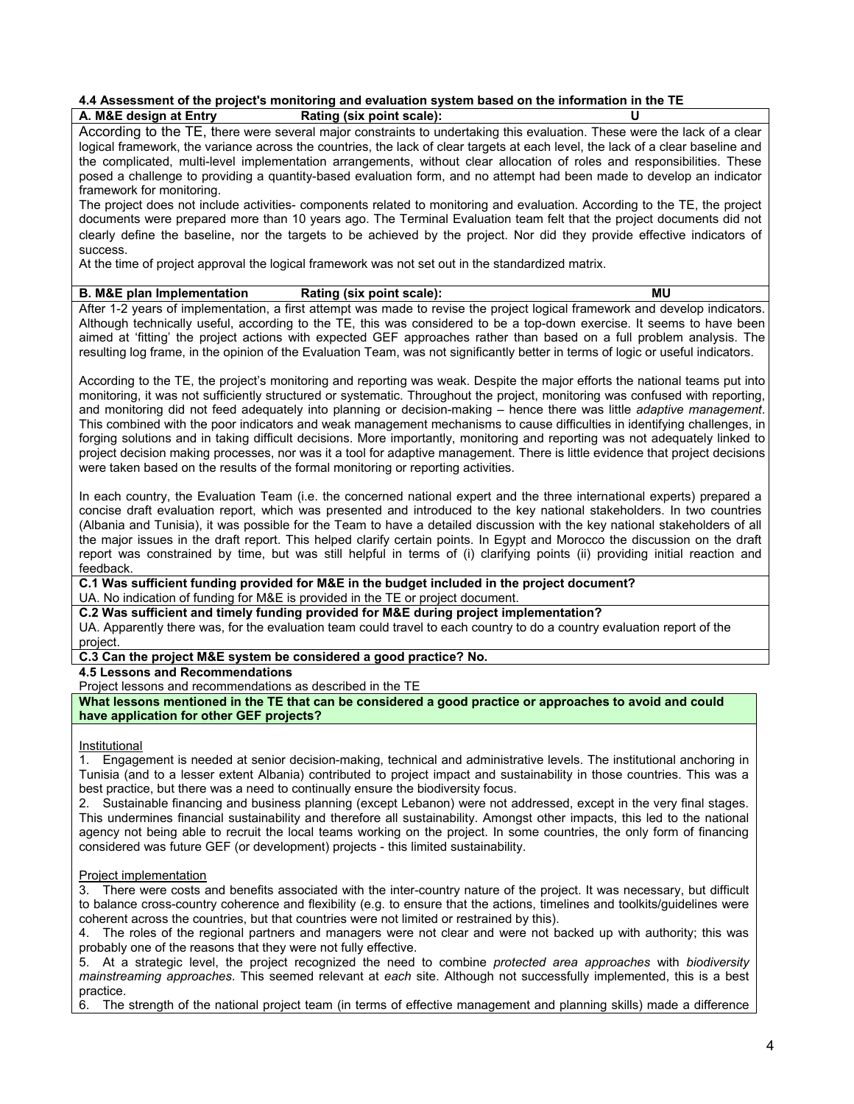#### **4.4 Assessment of the project's monitoring and evaluation system based on the information in the TE A. M&E design at Entry Rating (six point scale):**

According to the TE, there were several major constraints to undertaking this evaluation. These were the lack of a clear logical framework, the variance across the countries, the lack of clear targets at each level, the lack of a clear baseline and the complicated, multi-level implementation arrangements, without clear allocation of roles and responsibilities. These posed a challenge to providing a quantity-based evaluation form, and no attempt had been made to develop an indicator framework for monitoring.

The project does not include activities- components related to monitoring and evaluation. According to the TE, the project documents were prepared more than 10 years ago. The Terminal Evaluation team felt that the project documents did not clearly define the baseline, nor the targets to be achieved by the project. Nor did they provide effective indicators of success.

At the time of project approval the logical framework was not set out in the standardized matrix.

## **B. M&E plan Implementation Rating (six point scale): MU**

After 1-2 years of implementation, a first attempt was made to revise the project logical framework and develop indicators. Although technically useful, according to the TE, this was considered to be a top-down exercise. It seems to have been aimed at 'fitting' the project actions with expected GEF approaches rather than based on a full problem analysis. The resulting log frame, in the opinion of the Evaluation Team, was not significantly better in terms of logic or useful indicators.

According to the TE, the project's monitoring and reporting was weak. Despite the major efforts the national teams put into monitoring, it was not sufficiently structured or systematic. Throughout the project, monitoring was confused with reporting, and monitoring did not feed adequately into planning or decision-making – hence there was little *adaptive management*. This combined with the poor indicators and weak management mechanisms to cause difficulties in identifying challenges, in forging solutions and in taking difficult decisions. More importantly, monitoring and reporting was not adequately linked to project decision making processes, nor was it a tool for adaptive management. There is little evidence that project decisions were taken based on the results of the formal monitoring or reporting activities.

In each country, the Evaluation Team (i.e. the concerned national expert and the three international experts) prepared a concise draft evaluation report, which was presented and introduced to the key national stakeholders. In two countries (Albania and Tunisia), it was possible for the Team to have a detailed discussion with the key national stakeholders of all the major issues in the draft report. This helped clarify certain points. In Egypt and Morocco the discussion on the draft report was constrained by time, but was still helpful in terms of (i) clarifying points (ii) providing initial reaction and feedback.

**C.1 Was sufficient funding provided for M&E in the budget included in the project document?** UA. No indication of funding for M&E is provided in the TE or project document.

**C.2 Was sufficient and timely funding provided for M&E during project implementation?**

UA. Apparently there was, for the evaluation team could travel to each country to do a country evaluation report of the project.

**C.3 Can the project M&E system be considered a good practice? No.**

**4.5 Lessons and Recommendations** 

Project lessons and recommendations as described in the TE

**What lessons mentioned in the TE that can be considered a good practice or approaches to avoid and could have application for other GEF projects?**

**Institutional** 

1. Engagement is needed at senior decision-making, technical and administrative levels. The institutional anchoring in Tunisia (and to a lesser extent Albania) contributed to project impact and sustainability in those countries. This was a best practice, but there was a need to continually ensure the biodiversity focus.

2. Sustainable financing and business planning (except Lebanon) were not addressed, except in the very final stages. This undermines financial sustainability and therefore all sustainability. Amongst other impacts, this led to the national agency not being able to recruit the local teams working on the project. In some countries, the only form of financing considered was future GEF (or development) projects - this limited sustainability.

#### Project implementation

3. There were costs and benefits associated with the inter-country nature of the project. It was necessary, but difficult to balance cross-country coherence and flexibility (e.g. to ensure that the actions, timelines and toolkits/guidelines were coherent across the countries, but that countries were not limited or restrained by this).

4. The roles of the regional partners and managers were not clear and were not backed up with authority; this was probably one of the reasons that they were not fully effective.

5. At a strategic level, the project recognized the need to combine *protected area approaches* with *biodiversity mainstreaming approaches*. This seemed relevant at *each* site. Although not successfully implemented, this is a best practice.

6. The strength of the national project team (in terms of effective management and planning skills) made a difference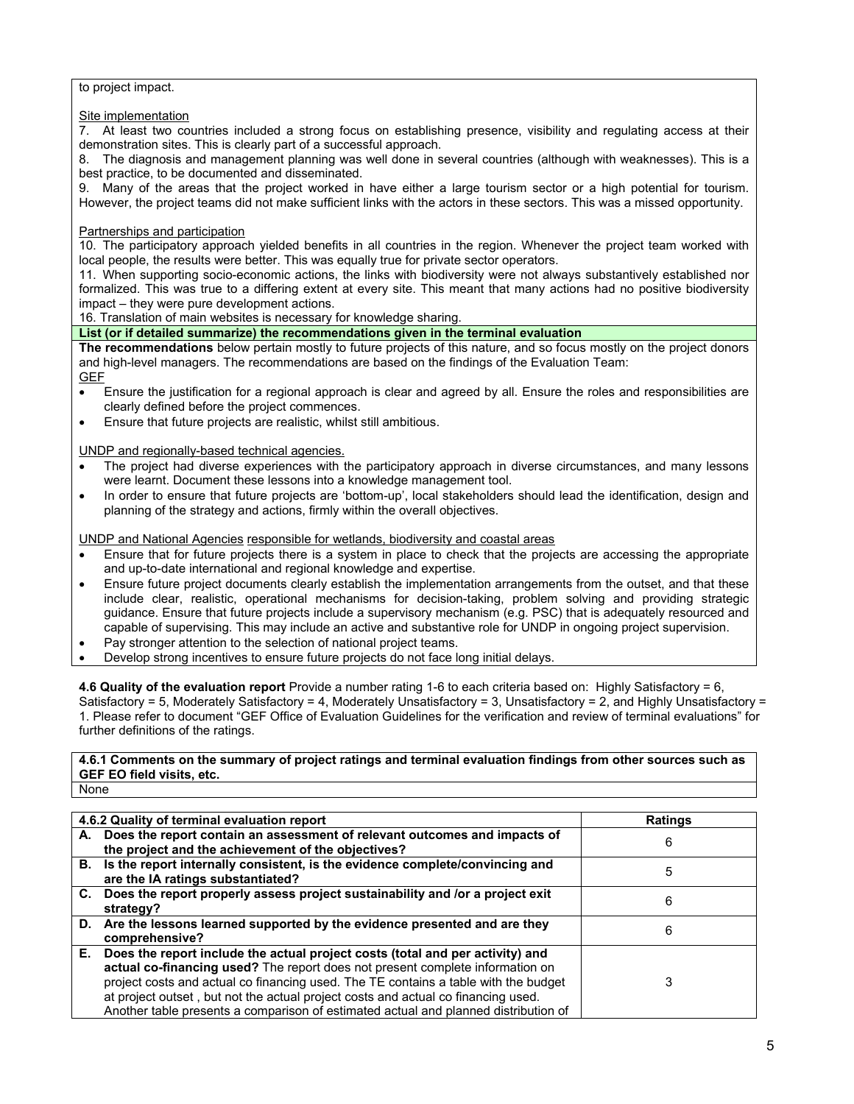## to project impact.

## **Site implementation**

7. At least two countries included a strong focus on establishing presence, visibility and regulating access at their demonstration sites. This is clearly part of a successful approach.<br>8. The diagnosis and management planning was well done in s

The diagnosis and management planning was well done in several countries (although with weaknesses). This is a best practice, to be documented and disseminated.

9. Many of the areas that the project worked in have either a large tourism sector or a high potential for tourism. However, the project teams did not make sufficient links with the actors in these sectors. This was a missed opportunity.

## Partnerships and participation

10. The participatory approach yielded benefits in all countries in the region. Whenever the project team worked with local people, the results were better. This was equally true for private sector operators.

11. When supporting socio-economic actions, the links with biodiversity were not always substantively established nor formalized. This was true to a differing extent at every site. This meant that many actions had no positive biodiversity impact – they were pure development actions.

16. Translation of main websites is necessary for knowledge sharing.

**List (or if detailed summarize) the recommendations given in the terminal evaluation** 

**The recommendations** below pertain mostly to future projects of this nature, and so focus mostly on the project donors and high-level managers. The recommendations are based on the findings of the Evaluation Team:

**GEF** 

- Ensure the justification for a regional approach is clear and agreed by all. Ensure the roles and responsibilities are clearly defined before the project commences.
- Ensure that future projects are realistic, whilst still ambitious.

UNDP and regionally-based technical agencies.

- The project had diverse experiences with the participatory approach in diverse circumstances, and many lessons were learnt. Document these lessons into a knowledge management tool.
- In order to ensure that future projects are 'bottom-up', local stakeholders should lead the identification, design and planning of the strategy and actions, firmly within the overall objectives.

UNDP and National Agencies responsible for wetlands, biodiversity and coastal areas

- Ensure that for future projects there is a system in place to check that the projects are accessing the appropriate and up-to-date international and regional knowledge and expertise.
- Ensure future project documents clearly establish the implementation arrangements from the outset, and that these include clear, realistic, operational mechanisms for decision-taking, problem solving and providing strategic guidance. Ensure that future projects include a supervisory mechanism (e.g. PSC) that is adequately resourced and capable of supervising. This may include an active and substantive role for UNDP in ongoing project supervision.
- Pay stronger attention to the selection of national project teams.
- Develop strong incentives to ensure future projects do not face long initial delays.

**4.6 Quality of the evaluation report** Provide a number rating 1-6 to each criteria based on: Highly Satisfactory = 6, Satisfactory = 5, Moderately Satisfactory = 4, Moderately Unsatisfactory = 3, Unsatisfactory = 2, and Highly Unsatisfactory = 1. Please refer to document "GEF Office of Evaluation Guidelines for the verification and review of terminal evaluations" for further definitions of the ratings.

# **4.6.1 Comments on the summary of project ratings and terminal evaluation findings from other sources such as GEF EO field visits, etc.**

None

|    | 4.6.2 Quality of terminal evaluation report                                                                                                                                                                                                                                                                                                                                                                                       | <b>Ratings</b> |
|----|-----------------------------------------------------------------------------------------------------------------------------------------------------------------------------------------------------------------------------------------------------------------------------------------------------------------------------------------------------------------------------------------------------------------------------------|----------------|
|    | A. Does the report contain an assessment of relevant outcomes and impacts of<br>the project and the achievement of the objectives?                                                                                                                                                                                                                                                                                                | 6              |
|    | B. Is the report internally consistent, is the evidence complete/convincing and<br>are the IA ratings substantiated?                                                                                                                                                                                                                                                                                                              | 5              |
|    | C. Does the report properly assess project sustainability and /or a project exit<br>strategy?                                                                                                                                                                                                                                                                                                                                     | 6              |
|    | D. Are the lessons learned supported by the evidence presented and are they<br>comprehensive?                                                                                                                                                                                                                                                                                                                                     | 6              |
| Е. | Does the report include the actual project costs (total and per activity) and<br>actual co-financing used? The report does not present complete information on<br>project costs and actual co financing used. The TE contains a table with the budget<br>at project outset, but not the actual project costs and actual co financing used.<br>Another table presents a comparison of estimated actual and planned distribution of | 3              |